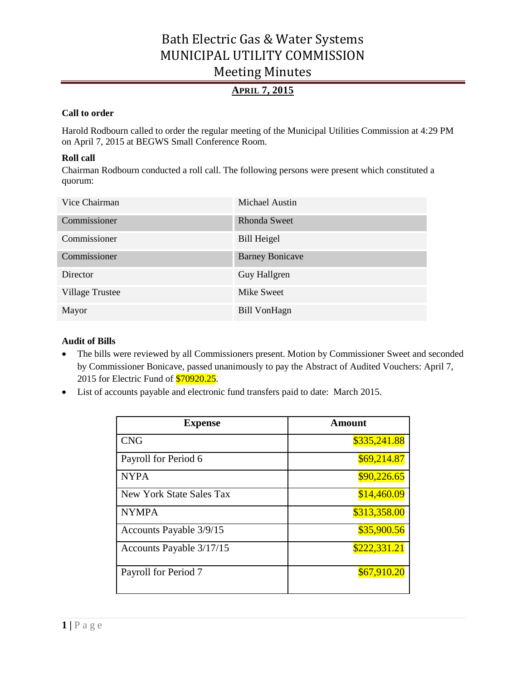## **APRIL 7, 2015**

#### **Call to order**

Harold Rodbourn called to order the regular meeting of the Municipal Utilities Commission at 4:29 PM on April 7, 2015 at BEGWS Small Conference Room.

#### **Roll call**

Chairman Rodbourn conducted a roll call. The following persons were present which constituted a quorum:

| Vice Chairman   | Michael Austin         |
|-----------------|------------------------|
| Commissioner    | <b>Rhonda Sweet</b>    |
| Commissioner    | <b>Bill Heigel</b>     |
| Commissioner    | <b>Barney Bonicave</b> |
| <b>Director</b> | Guy Hallgren           |
| Village Trustee | Mike Sweet             |
| Mayor           | <b>Bill VonHagn</b>    |

#### **Audit of Bills**

- The bills were reviewed by all Commissioners present. Motion by Commissioner Sweet and seconded by Commissioner Bonicave, passed unanimously to pay the Abstract of Audited Vouchers: April 7, 2015 for Electric Fund of **\$70920.25**.
- List of accounts payable and electronic fund transfers paid to date: March 2015.

| <b>Expense</b>           | Amount       |
|--------------------------|--------------|
| <b>CNG</b>               | \$335,241.88 |
| Payroll for Period 6     | \$69,214.87  |
| <b>NYPA</b>              | \$90,226.65  |
| New York State Sales Tax | \$14,460.09  |
| <b>NYMPA</b>             | \$313,358.00 |
| Accounts Payable 3/9/15  | \$35,900.56  |
| Accounts Payable 3/17/15 | \$222,331.21 |
| Payroll for Period 7     | \$67,910.20  |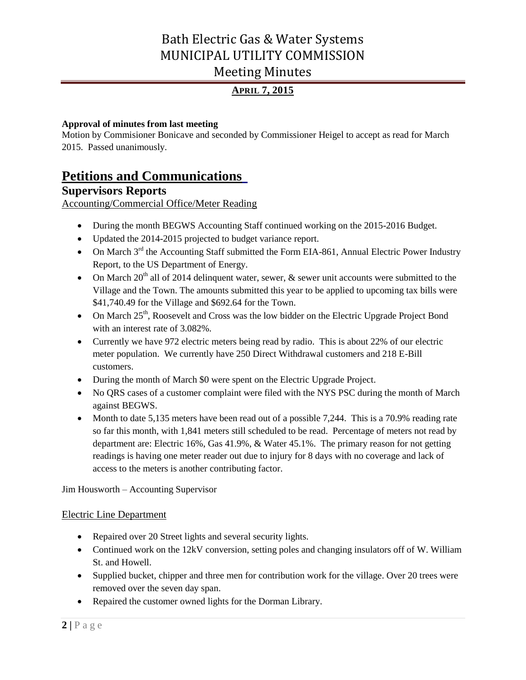## **APRIL 7, 2015**

#### **Approval of minutes from last meeting**

Motion by Commisioner Bonicave and seconded by Commissioner Heigel to accept as read for March 2015. Passed unanimously.

## **Petitions and Communications**

## **Supervisors Reports**

Accounting/Commercial Office/Meter Reading

- During the month BEGWS Accounting Staff continued working on the 2015-2016 Budget.
- Updated the 2014-2015 projected to budget variance report.
- On March  $3^{rd}$  the Accounting Staff submitted the Form EIA-861, Annual Electric Power Industry Report, to the US Department of Energy.
- On March  $20<sup>th</sup>$  all of 2014 delinquent water, sewer,  $\&$  sewer unit accounts were submitted to the Village and the Town. The amounts submitted this year to be applied to upcoming tax bills were \$41,740.49 for the Village and \$692.64 for the Town.
- On March  $25<sup>th</sup>$ , Roosevelt and Cross was the low bidder on the Electric Upgrade Project Bond with an interest rate of 3.082%.
- Currently we have 972 electric meters being read by radio. This is about 22% of our electric meter population. We currently have 250 Direct Withdrawal customers and 218 E-Bill customers.
- During the month of March \$0 were spent on the Electric Upgrade Project.
- No QRS cases of a customer complaint were filed with the NYS PSC during the month of March against BEGWS.
- Month to date 5,135 meters have been read out of a possible 7,244. This is a 70.9% reading rate so far this month, with 1,841 meters still scheduled to be read. Percentage of meters not read by department are: Electric 16%, Gas 41.9%, & Water 45.1%. The primary reason for not getting readings is having one meter reader out due to injury for 8 days with no coverage and lack of access to the meters is another contributing factor.

Jim Housworth – Accounting Supervisor

#### Electric Line Department

- Repaired over 20 Street lights and several security lights.
- Continued work on the 12kV conversion, setting poles and changing insulators off of W. William St. and Howell.
- Supplied bucket, chipper and three men for contribution work for the village. Over 20 trees were removed over the seven day span.
- Repaired the customer owned lights for the Dorman Library.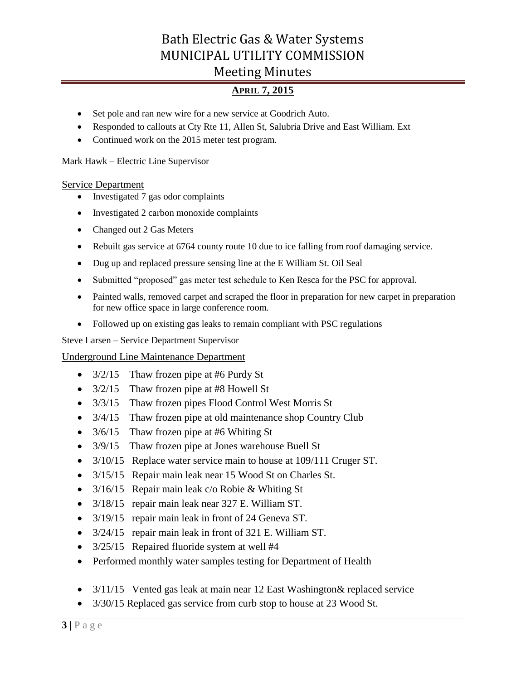### **APRIL 7, 2015**

- Set pole and ran new wire for a new service at Goodrich Auto.
- Responded to callouts at Cty Rte 11, Allen St, Salubria Drive and East William. Ext
- Continued work on the 2015 meter test program.

Mark Hawk – Electric Line Supervisor

#### Service Department

- Investigated 7 gas odor complaints
- Investigated 2 carbon monoxide complaints
- Changed out 2 Gas Meters
- Rebuilt gas service at 6764 county route 10 due to ice falling from roof damaging service.
- Dug up and replaced pressure sensing line at the E William St. Oil Seal
- Submitted "proposed" gas meter test schedule to Ken Resca for the PSC for approval.
- Painted walls, removed carpet and scraped the floor in preparation for new carpet in preparation for new office space in large conference room.
- Followed up on existing gas leaks to remain compliant with PSC regulations

Steve Larsen – Service Department Supervisor

#### Underground Line Maintenance Department

- $3/2/15$  Thaw frozen pipe at #6 Purdy St
- 3/2/15 Thaw frozen pipe at #8 Howell St
- 3/3/15 Thaw frozen pipes Flood Control West Morris St
- 3/4/15 Thaw frozen pipe at old maintenance shop Country Club
- 3/6/15 Thaw frozen pipe at #6 Whiting St
- 3/9/15 Thaw frozen pipe at Jones warehouse Buell St
- 3/10/15 Replace water service main to house at 109/111 Cruger ST.
- 3/15/15 Repair main leak near 15 Wood St on Charles St.
- 3/16/15 Repair main leak c/o Robie & Whiting St
- 3/18/15 repair main leak near 327 E. William ST.
- 3/19/15 repair main leak in front of 24 Geneva ST.
- 3/24/15 repair main leak in front of 321 E. William ST.
- 3/25/15 Repaired fluoride system at well #4
- Performed monthly water samples testing for Department of Health
- 3/11/15 Vented gas leak at main near 12 East Washington & replaced service
- 3/30/15 Replaced gas service from curb stop to house at 23 Wood St.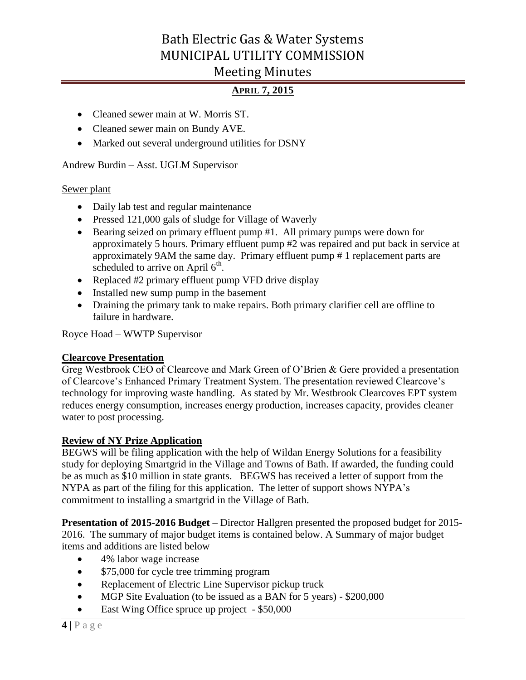## **APRIL 7, 2015**

- Cleaned sewer main at W. Morris ST.
- Cleaned sewer main on Bundy AVE.
- Marked out several underground utilities for DSNY

### Andrew Burdin – Asst. UGLM Supervisor

#### Sewer plant

- Daily lab test and regular maintenance
- Pressed 121,000 gals of sludge for Village of Waverly
- Bearing seized on primary effluent pump #1. All primary pumps were down for approximately 5 hours. Primary effluent pump #2 was repaired and put back in service at approximately 9AM the same day. Primary effluent pump # 1 replacement parts are scheduled to arrive on April  $6<sup>th</sup>$ .
- Replaced #2 primary effluent pump VFD drive display
- Installed new sump pump in the basement
- Draining the primary tank to make repairs. Both primary clarifier cell are offline to failure in hardware.

Royce Hoad – WWTP Supervisor

### **Clearcove Presentation**

Greg Westbrook CEO of Clearcove and Mark Green of O'Brien & Gere provided a presentation of Clearcove's Enhanced Primary Treatment System. The presentation reviewed Clearcove's technology for improving waste handling. As stated by Mr. Westbrook Clearcoves EPT system reduces energy consumption, increases energy production, increases capacity, provides cleaner water to post processing.

### **Review of NY Prize Application**

BEGWS will be filing application with the help of Wildan Energy Solutions for a feasibility study for deploying Smartgrid in the Village and Towns of Bath. If awarded, the funding could be as much as \$10 million in state grants. BEGWS has received a letter of support from the NYPA as part of the filing for this application. The letter of support shows NYPA's commitment to installing a smartgrid in the Village of Bath.

**Presentation of 2015-2016 Budget** – Director Hallgren presented the proposed budget for 2015- 2016. The summary of major budget items is contained below. A Summary of major budget items and additions are listed below

- 4% labor wage increase
- $\bullet$  \$75,000 for cycle tree trimming program
- Replacement of Electric Line Supervisor pickup truck
- MGP Site Evaluation (to be issued as a BAN for 5 years) \$200,000
- East Wing Office spruce up project \$50,000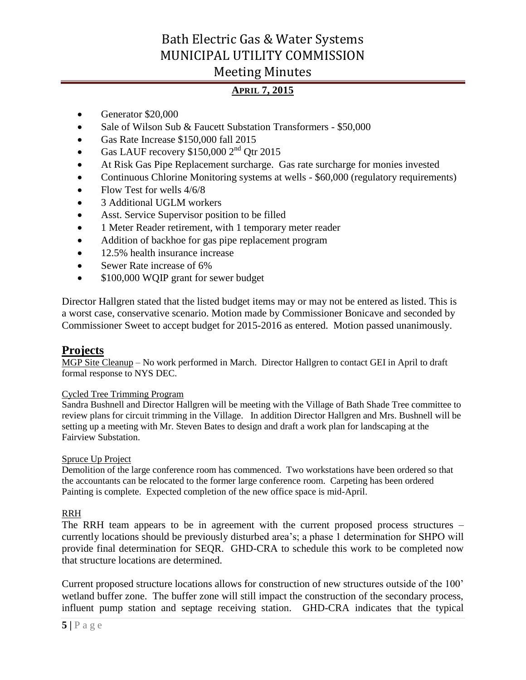## **APRIL 7, 2015**

- Generator \$20,000
- Sale of Wilson Sub & Faucett Substation Transformers \$50,000
- Gas Rate Increase \$150,000 fall 2015
- Gas LAUF recovery  $$150,000$   $2<sup>nd</sup>$  Otr 2015
- At Risk Gas Pipe Replacement surcharge. Gas rate surcharge for monies invested
- Continuous Chlorine Monitoring systems at wells \$60,000 (regulatory requirements)
- Flow Test for wells  $4/6/8$
- 3 Additional UGLM workers
- Asst. Service Supervisor position to be filled
- 1 Meter Reader retirement, with 1 temporary meter reader
- Addition of backhoe for gas pipe replacement program
- 12.5% health insurance increase
- Sewer Rate increase of 6%
- \$100,000 WQIP grant for sewer budget

Director Hallgren stated that the listed budget items may or may not be entered as listed. This is a worst case, conservative scenario. Motion made by Commissioner Bonicave and seconded by Commissioner Sweet to accept budget for 2015-2016 as entered. Motion passed unanimously.

### **Projects**

MGP Site Cleanup – No work performed in March. Director Hallgren to contact GEI in April to draft formal response to NYS DEC.

#### Cycled Tree Trimming Program

Sandra Bushnell and Director Hallgren will be meeting with the Village of Bath Shade Tree committee to review plans for circuit trimming in the Village. In addition Director Hallgren and Mrs. Bushnell will be setting up a meeting with Mr. Steven Bates to design and draft a work plan for landscaping at the Fairview Substation.

#### Spruce Up Project

Demolition of the large conference room has commenced. Two workstations have been ordered so that the accountants can be relocated to the former large conference room. Carpeting has been ordered Painting is complete. Expected completion of the new office space is mid-April.

#### RRH

The RRH team appears to be in agreement with the current proposed process structures – currently locations should be previously disturbed area's; a phase 1 determination for SHPO will provide final determination for SEQR. GHD-CRA to schedule this work to be completed now that structure locations are determined.

Current proposed structure locations allows for construction of new structures outside of the 100' wetland buffer zone. The buffer zone will still impact the construction of the secondary process, influent pump station and septage receiving station. GHD-CRA indicates that the typical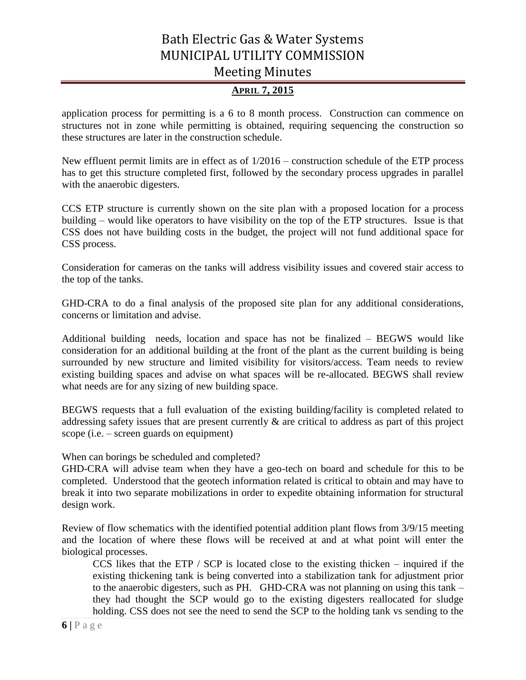### **APRIL 7, 2015**

application process for permitting is a 6 to 8 month process. Construction can commence on structures not in zone while permitting is obtained, requiring sequencing the construction so these structures are later in the construction schedule.

New effluent permit limits are in effect as of 1/2016 – construction schedule of the ETP process has to get this structure completed first, followed by the secondary process upgrades in parallel with the anaerobic digesters.

CCS ETP structure is currently shown on the site plan with a proposed location for a process building – would like operators to have visibility on the top of the ETP structures. Issue is that CSS does not have building costs in the budget, the project will not fund additional space for CSS process.

Consideration for cameras on the tanks will address visibility issues and covered stair access to the top of the tanks.

GHD-CRA to do a final analysis of the proposed site plan for any additional considerations, concerns or limitation and advise.

Additional building needs, location and space has not be finalized – BEGWS would like consideration for an additional building at the front of the plant as the current building is being surrounded by new structure and limited visibility for visitors/access. Team needs to review existing building spaces and advise on what spaces will be re-allocated. BEGWS shall review what needs are for any sizing of new building space.

BEGWS requests that a full evaluation of the existing building/facility is completed related to addressing safety issues that are present currently & are critical to address as part of this project scope (i.e. – screen guards on equipment)

When can borings be scheduled and completed?

GHD-CRA will advise team when they have a geo-tech on board and schedule for this to be completed. Understood that the geotech information related is critical to obtain and may have to break it into two separate mobilizations in order to expedite obtaining information for structural design work.

Review of flow schematics with the identified potential addition plant flows from 3/9/15 meeting and the location of where these flows will be received at and at what point will enter the biological processes.

CCS likes that the ETP  $/$  SCP is located close to the existing thicken – inquired if the existing thickening tank is being converted into a stabilization tank for adjustment prior to the anaerobic digesters, such as PH. GHD-CRA was not planning on using this tank – they had thought the SCP would go to the existing digesters reallocated for sludge holding. CSS does not see the need to send the SCP to the holding tank vs sending to the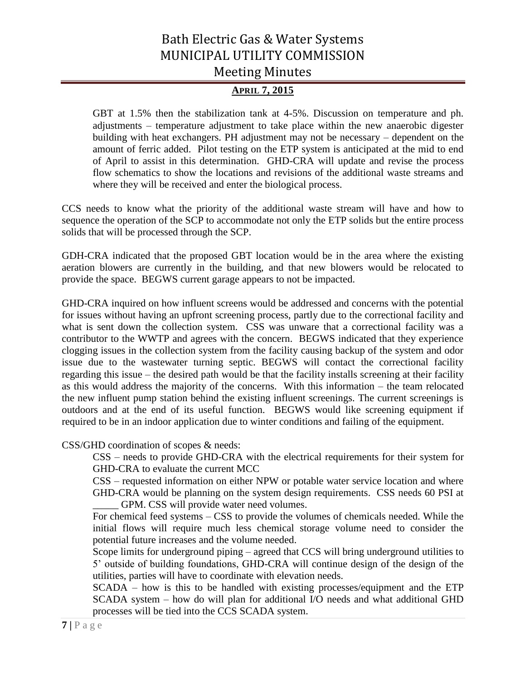### **APRIL 7, 2015**

GBT at 1.5% then the stabilization tank at 4-5%. Discussion on temperature and ph. adjustments – temperature adjustment to take place within the new anaerobic digester building with heat exchangers. PH adjustment may not be necessary – dependent on the amount of ferric added. Pilot testing on the ETP system is anticipated at the mid to end of April to assist in this determination. GHD-CRA will update and revise the process flow schematics to show the locations and revisions of the additional waste streams and where they will be received and enter the biological process.

CCS needs to know what the priority of the additional waste stream will have and how to sequence the operation of the SCP to accommodate not only the ETP solids but the entire process solids that will be processed through the SCP.

GDH-CRA indicated that the proposed GBT location would be in the area where the existing aeration blowers are currently in the building, and that new blowers would be relocated to provide the space. BEGWS current garage appears to not be impacted.

GHD-CRA inquired on how influent screens would be addressed and concerns with the potential for issues without having an upfront screening process, partly due to the correctional facility and what is sent down the collection system. CSS was unware that a correctional facility was a contributor to the WWTP and agrees with the concern. BEGWS indicated that they experience clogging issues in the collection system from the facility causing backup of the system and odor issue due to the wastewater turning septic. BEGWS will contact the correctional facility regarding this issue – the desired path would be that the facility installs screening at their facility as this would address the majority of the concerns. With this information – the team relocated the new influent pump station behind the existing influent screenings. The current screenings is outdoors and at the end of its useful function. BEGWS would like screening equipment if required to be in an indoor application due to winter conditions and failing of the equipment.

CSS/GHD coordination of scopes & needs:

CSS – needs to provide GHD-CRA with the electrical requirements for their system for GHD-CRA to evaluate the current MCC

CSS – requested information on either NPW or potable water service location and where GHD-CRA would be planning on the system design requirements. CSS needs 60 PSI at GPM. CSS will provide water need volumes.

For chemical feed systems – CSS to provide the volumes of chemicals needed. While the initial flows will require much less chemical storage volume need to consider the potential future increases and the volume needed.

Scope limits for underground piping – agreed that CCS will bring underground utilities to 5' outside of building foundations, GHD-CRA will continue design of the design of the utilities, parties will have to coordinate with elevation needs.

SCADA – how is this to be handled with existing processes/equipment and the ETP SCADA system – how do will plan for additional I/O needs and what additional GHD processes will be tied into the CCS SCADA system.